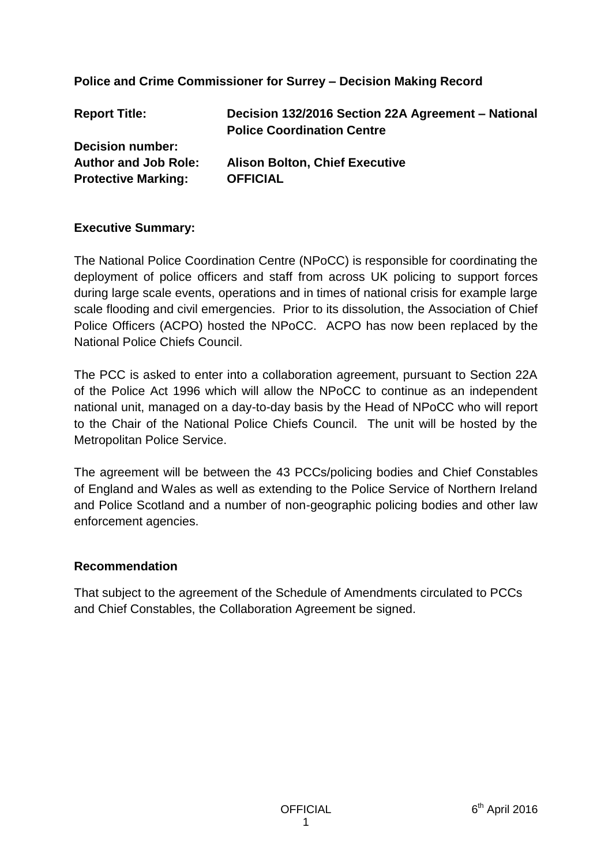### **Police and Crime Commissioner for Surrey – Decision Making Record**

| <b>Report Title:</b>        | Decision 132/2016 Section 22A Agreement - National<br><b>Police Coordination Centre</b> |
|-----------------------------|-----------------------------------------------------------------------------------------|
| <b>Decision number:</b>     |                                                                                         |
| <b>Author and Job Role:</b> | <b>Alison Bolton, Chief Executive</b>                                                   |
| <b>Protective Marking:</b>  | <b>OFFICIAL</b>                                                                         |
|                             |                                                                                         |

### **Executive Summary:**

The National Police Coordination Centre (NPoCC) is responsible for coordinating the deployment of police officers and staff from across UK policing to support forces during large scale events, operations and in times of national crisis for example large scale flooding and civil emergencies. Prior to its dissolution, the Association of Chief Police Officers (ACPO) hosted the NPoCC. ACPO has now been replaced by the National Police Chiefs Council.

The PCC is asked to enter into a collaboration agreement, pursuant to Section 22A of the Police Act 1996 which will allow the NPoCC to continue as an independent national unit, managed on a day-to-day basis by the Head of NPoCC who will report to the Chair of the National Police Chiefs Council. The unit will be hosted by the Metropolitan Police Service.

The agreement will be between the 43 PCCs/policing bodies and Chief Constables of England and Wales as well as extending to the Police Service of Northern Ireland and Police Scotland and a number of non-geographic policing bodies and other law enforcement agencies.

### **Recommendation**

That subject to the agreement of the Schedule of Amendments circulated to PCCs and Chief Constables, the Collaboration Agreement be signed.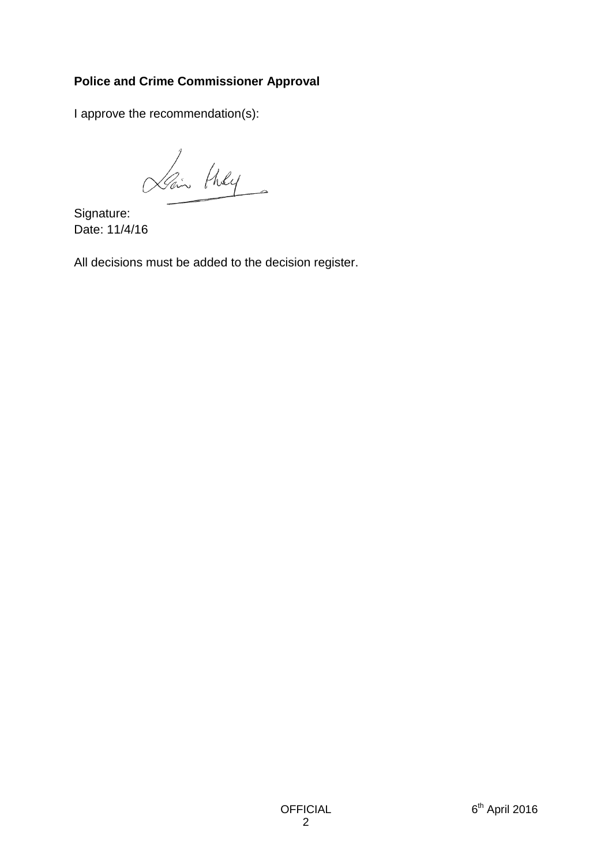## **Police and Crime Commissioner Approval**

I approve the recommendation(s):

Lain they

Signature: Date: 11/4/16

All decisions must be added to the decision register.